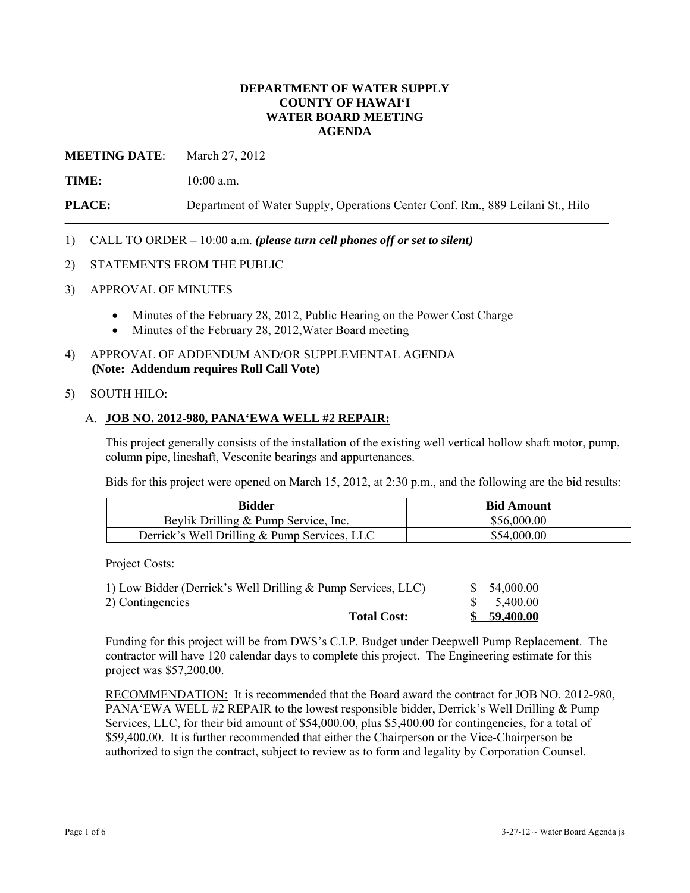# **DEPARTMENT OF WATER SUPPLY COUNTY OF HAWAI'I WATER BOARD MEETING AGENDA**

**MEETING DATE**: March 27, 2012

**TIME:** 10:00 a.m.

**PLACE:** Department of Water Supply, Operations Center Conf. Rm., 889 Leilani St., Hilo

- 1) CALL TO ORDER 10:00 a.m. *(please turn cell phones off or set to silent)*
- 2) STATEMENTS FROM THE PUBLIC
- 3) APPROVAL OF MINUTES
	- Minutes of the February 28, 2012, Public Hearing on the Power Cost Charge
	- Minutes of the February 28, 2012, Water Board meeting
- 4) APPROVAL OF ADDENDUM AND/OR SUPPLEMENTAL AGENDA **(Note: Addendum requires Roll Call Vote)**

#### 5) SOUTH HILO:

# A. **JOB NO. 2012-980, PANA'EWA WELL #2 REPAIR:**

This project generally consists of the installation of the existing well vertical hollow shaft motor, pump, column pipe, lineshaft, Vesconite bearings and appurtenances.

Bids for this project were opened on March 15, 2012, at 2:30 p.m., and the following are the bid results:

| Bidder                                       | <b>Bid Amount</b> |
|----------------------------------------------|-------------------|
| Beylik Drilling & Pump Service, Inc.         | \$56,000.00       |
| Derrick's Well Drilling & Pump Services, LLC | \$54,000.00       |

Project Costs:

| 2) Contingencies   | 5.400.00  |
|--------------------|-----------|
| <b>Total Cost:</b> | 59,400.00 |

Funding for this project will be from DWS's C.I.P. Budget under Deepwell Pump Replacement. The contractor will have 120 calendar days to complete this project. The Engineering estimate for this project was \$57,200.00.

RECOMMENDATION: It is recommended that the Board award the contract for JOB NO. 2012-980, PANA'EWA WELL #2 REPAIR to the lowest responsible bidder, Derrick's Well Drilling & Pump Services, LLC, for their bid amount of \$54,000.00, plus \$5,400.00 for contingencies, for a total of \$59,400.00. It is further recommended that either the Chairperson or the Vice-Chairperson be authorized to sign the contract, subject to review as to form and legality by Corporation Counsel.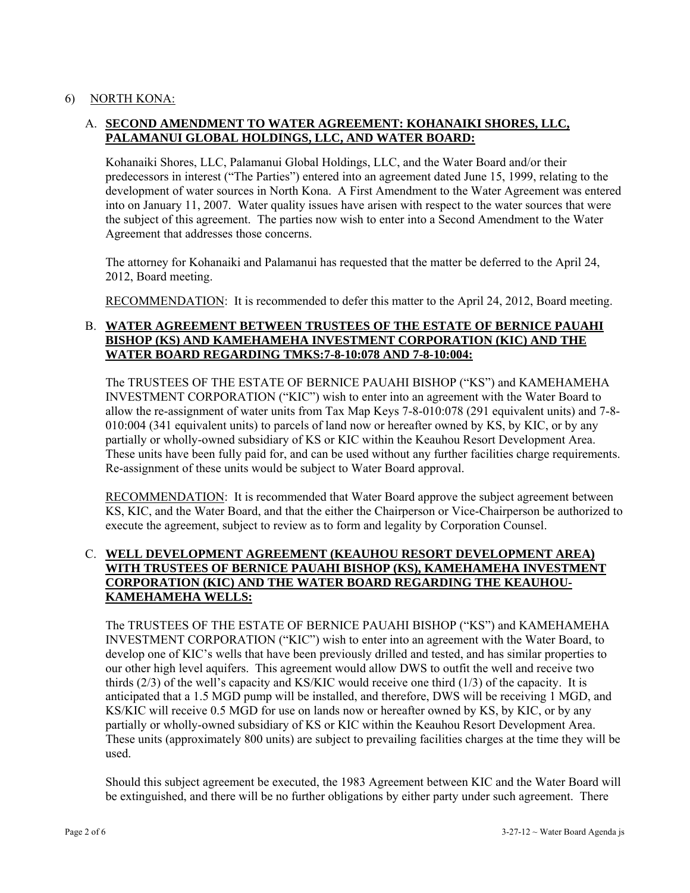# 6) NORTH KONA:

# A. **SECOND AMENDMENT TO WATER AGREEMENT: KOHANAIKI SHORES, LLC, PALAMANUI GLOBAL HOLDINGS, LLC, AND WATER BOARD:**

Kohanaiki Shores, LLC, Palamanui Global Holdings, LLC, and the Water Board and/or their predecessors in interest ("The Parties") entered into an agreement dated June 15, 1999, relating to the development of water sources in North Kona. A First Amendment to the Water Agreement was entered into on January 11, 2007. Water quality issues have arisen with respect to the water sources that were the subject of this agreement. The parties now wish to enter into a Second Amendment to the Water Agreement that addresses those concerns.

The attorney for Kohanaiki and Palamanui has requested that the matter be deferred to the April 24, 2012, Board meeting.

RECOMMENDATION: It is recommended to defer this matter to the April 24, 2012, Board meeting.

# B. **WATER AGREEMENT BETWEEN TRUSTEES OF THE ESTATE OF BERNICE PAUAHI BISHOP (KS) AND KAMEHAMEHA INVESTMENT CORPORATION (KIC) AND THE WATER BOARD REGARDING TMKS:7-8-10:078 AND 7-8-10:004:**

The TRUSTEES OF THE ESTATE OF BERNICE PAUAHI BISHOP ("KS") and KAMEHAMEHA INVESTMENT CORPORATION ("KIC") wish to enter into an agreement with the Water Board to allow the re-assignment of water units from Tax Map Keys 7-8-010:078 (291 equivalent units) and 7-8- 010:004 (341 equivalent units) to parcels of land now or hereafter owned by KS, by KIC, or by any partially or wholly-owned subsidiary of KS or KIC within the Keauhou Resort Development Area. These units have been fully paid for, and can be used without any further facilities charge requirements. Re-assignment of these units would be subject to Water Board approval.

RECOMMENDATION: It is recommended that Water Board approve the subject agreement between KS, KIC, and the Water Board, and that the either the Chairperson or Vice-Chairperson be authorized to execute the agreement, subject to review as to form and legality by Corporation Counsel.

# C. **WELL DEVELOPMENT AGREEMENT (KEAUHOU RESORT DEVELOPMENT AREA) WITH TRUSTEES OF BERNICE PAUAHI BISHOP (KS), KAMEHAMEHA INVESTMENT CORPORATION (KIC) AND THE WATER BOARD REGARDING THE KEAUHOU- KAMEHAMEHA WELLS:**

The TRUSTEES OF THE ESTATE OF BERNICE PAUAHI BISHOP ("KS") and KAMEHAMEHA INVESTMENT CORPORATION ("KIC") wish to enter into an agreement with the Water Board, to develop one of KIC's wells that have been previously drilled and tested, and has similar properties to our other high level aquifers. This agreement would allow DWS to outfit the well and receive two thirds (2/3) of the well's capacity and KS/KIC would receive one third (1/3) of the capacity. It is anticipated that a 1.5 MGD pump will be installed, and therefore, DWS will be receiving 1 MGD, and KS/KIC will receive 0.5 MGD for use on lands now or hereafter owned by KS, by KIC, or by any partially or wholly-owned subsidiary of KS or KIC within the Keauhou Resort Development Area. These units (approximately 800 units) are subject to prevailing facilities charges at the time they will be used.

Should this subject agreement be executed, the 1983 Agreement between KIC and the Water Board will be extinguished, and there will be no further obligations by either party under such agreement. There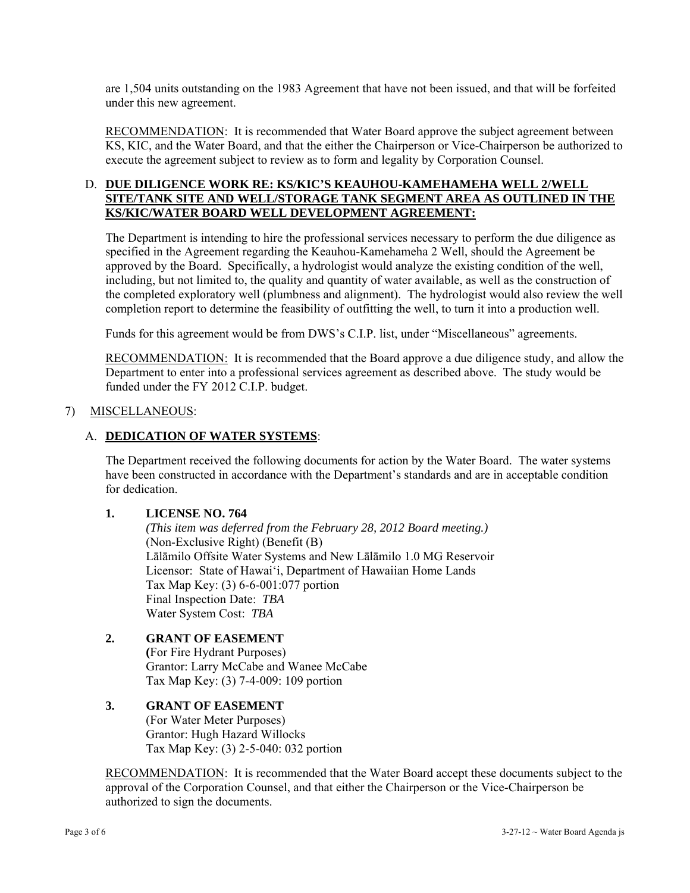are 1,504 units outstanding on the 1983 Agreement that have not been issued, and that will be forfeited under this new agreement.

RECOMMENDATION: It is recommended that Water Board approve the subject agreement between KS, KIC, and the Water Board, and that the either the Chairperson or Vice-Chairperson be authorized to execute the agreement subject to review as to form and legality by Corporation Counsel.

# D. **DUE DILIGENCE WORK RE: KS/KIC'S KEAUHOU-KAMEHAMEHA WELL 2/WELL SITE/TANK SITE AND WELL/STORAGE TANK SEGMENT AREA AS OUTLINED IN THE KS/KIC/WATER BOARD WELL DEVELOPMENT AGREEMENT:**

The Department is intending to hire the professional services necessary to perform the due diligence as specified in the Agreement regarding the Keauhou-Kamehameha 2 Well, should the Agreement be approved by the Board. Specifically, a hydrologist would analyze the existing condition of the well, including, but not limited to, the quality and quantity of water available, as well as the construction of the completed exploratory well (plumbness and alignment). The hydrologist would also review the well completion report to determine the feasibility of outfitting the well, to turn it into a production well.

Funds for this agreement would be from DWS's C.I.P. list, under "Miscellaneous" agreements.

RECOMMENDATION: It is recommended that the Board approve a due diligence study, and allow the Department to enter into a professional services agreement as described above. The study would be funded under the FY 2012 C.I.P. budget.

#### 7) MISCELLANEOUS:

# A. **DEDICATION OF WATER SYSTEMS**:

The Department received the following documents for action by the Water Board. The water systems have been constructed in accordance with the Department's standards and are in acceptable condition for dedication.

#### **1. LICENSE NO. 764**

 *(This item was deferred from the February 28, 2012 Board meeting.)*  (Non-Exclusive Right) (Benefit (B) Lālāmilo Offsite Water Systems and New Lālāmilo 1.0 MG Reservoir Licensor: State of Hawai'i, Department of Hawaiian Home Lands Tax Map Key: (3) 6-6-001:077 portion Final Inspection Date: *TBA* Water System Cost: *TBA*

# **2. GRANT OF EASEMENT**

 **(**For Fire Hydrant Purposes) Grantor: Larry McCabe and Wanee McCabe Tax Map Key: (3) 7-4-009: 109 portion

#### **3. GRANT OF EASEMENT**  (For Water Meter Purposes) Grantor: Hugh Hazard Willocks

Tax Map Key: (3) 2-5-040: 032 portion

RECOMMENDATION: It is recommended that the Water Board accept these documents subject to the approval of the Corporation Counsel, and that either the Chairperson or the Vice-Chairperson be authorized to sign the documents.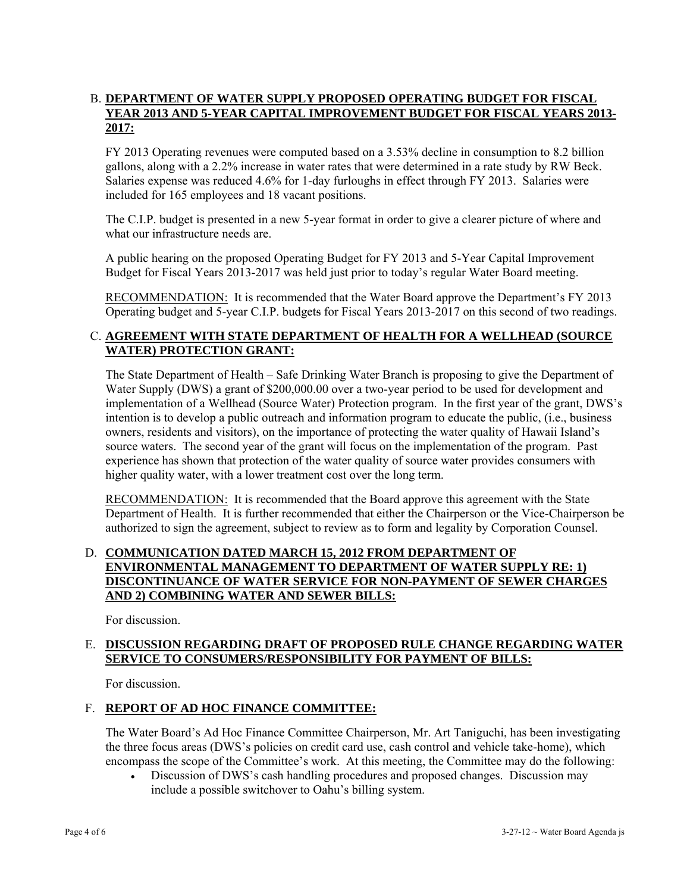# B. **DEPARTMENT OF WATER SUPPLY PROPOSED OPERATING BUDGET FOR FISCAL YEAR 2013 AND 5-YEAR CAPITAL IMPROVEMENT BUDGET FOR FISCAL YEARS 2013- 2017:**

FY 2013 Operating revenues were computed based on a 3.53% decline in consumption to 8.2 billion gallons, along with a 2.2% increase in water rates that were determined in a rate study by RW Beck. Salaries expense was reduced 4.6% for 1-day furloughs in effect through FY 2013. Salaries were included for 165 employees and 18 vacant positions.

The C.I.P. budget is presented in a new 5-year format in order to give a clearer picture of where and what our infrastructure needs are.

A public hearing on the proposed Operating Budget for FY 2013 and 5-Year Capital Improvement Budget for Fiscal Years 2013-2017 was held just prior to today's regular Water Board meeting.

RECOMMENDATION: It is recommended that the Water Board approve the Department's FY 2013 Operating budget and 5-year C.I.P. budgets for Fiscal Years 2013-2017 on this second of two readings.

# C. **AGREEMENT WITH STATE DEPARTMENT OF HEALTH FOR A WELLHEAD (SOURCE WATER) PROTECTION GRANT:**

The State Department of Health – Safe Drinking Water Branch is proposing to give the Department of Water Supply (DWS) a grant of \$200,000.00 over a two-year period to be used for development and implementation of a Wellhead (Source Water) Protection program. In the first year of the grant, DWS's intention is to develop a public outreach and information program to educate the public, (i.e., business owners, residents and visitors), on the importance of protecting the water quality of Hawaii Island's source waters. The second year of the grant will focus on the implementation of the program. Past experience has shown that protection of the water quality of source water provides consumers with higher quality water, with a lower treatment cost over the long term.

RECOMMENDATION: It is recommended that the Board approve this agreement with the State Department of Health. It is further recommended that either the Chairperson or the Vice-Chairperson be authorized to sign the agreement, subject to review as to form and legality by Corporation Counsel.

# D. **COMMUNICATION DATED MARCH 15, 2012 FROM DEPARTMENT OF ENVIRONMENTAL MANAGEMENT TO DEPARTMENT OF WATER SUPPLY RE: 1) DISCONTINUANCE OF WATER SERVICE FOR NON-PAYMENT OF SEWER CHARGES AND 2) COMBINING WATER AND SEWER BILLS:**

For discussion.

# E. **DISCUSSION REGARDING DRAFT OF PROPOSED RULE CHANGE REGARDING WATER SERVICE TO CONSUMERS/RESPONSIBILITY FOR PAYMENT OF BILLS:**

For discussion.

# F. **REPORT OF AD HOC FINANCE COMMITTEE:**

The Water Board's Ad Hoc Finance Committee Chairperson, Mr. Art Taniguchi, has been investigating the three focus areas (DWS's policies on credit card use, cash control and vehicle take-home), which encompass the scope of the Committee's work. At this meeting, the Committee may do the following:

 Discussion of DWS's cash handling procedures and proposed changes. Discussion may include a possible switchover to Oahu's billing system.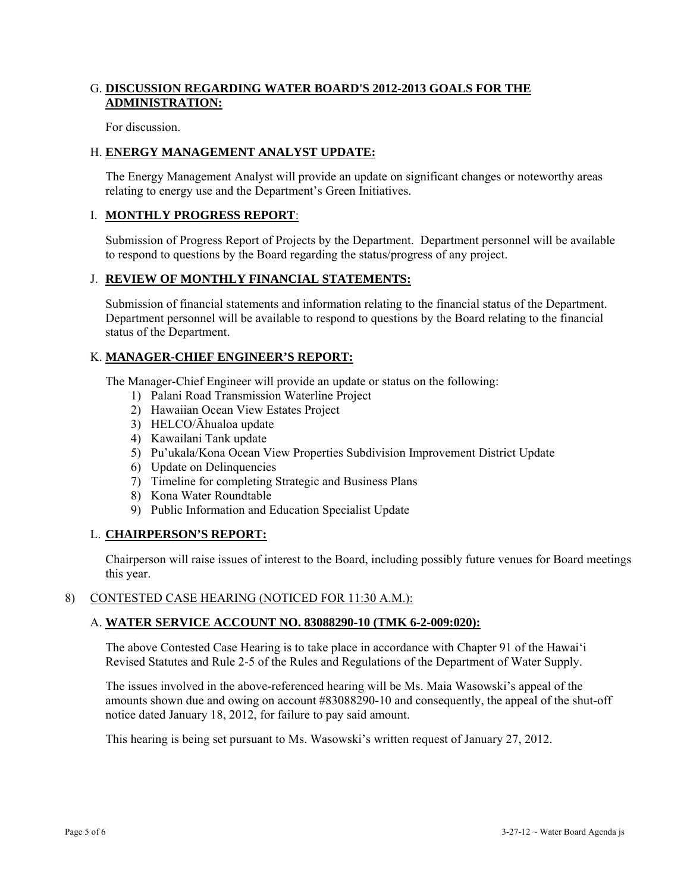# G. **DISCUSSION REGARDING WATER BOARD'S 2012-2013 GOALS FOR THE ADMINISTRATION:**

For discussion.

# H. **ENERGY MANAGEMENT ANALYST UPDATE:**

The Energy Management Analyst will provide an update on significant changes or noteworthy areas relating to energy use and the Department's Green Initiatives.

### I. **MONTHLY PROGRESS REPORT**:

Submission of Progress Report of Projects by the Department. Department personnel will be available to respond to questions by the Board regarding the status/progress of any project.

#### J. **REVIEW OF MONTHLY FINANCIAL STATEMENTS:**

Submission of financial statements and information relating to the financial status of the Department. Department personnel will be available to respond to questions by the Board relating to the financial status of the Department.

# K. **MANAGER-CHIEF ENGINEER'S REPORT:**

The Manager-Chief Engineer will provide an update or status on the following:

- 1) Palani Road Transmission Waterline Project
- 2) Hawaiian Ocean View Estates Project
- 3) HELCO/Āhualoa update
- 4) Kawailani Tank update
- 5) Pu'ukala/Kona Ocean View Properties Subdivision Improvement District Update
- 6) Update on Delinquencies
- 7) Timeline for completing Strategic and Business Plans
- 8) Kona Water Roundtable
- 9) Public Information and Education Specialist Update

#### L. **CHAIRPERSON'S REPORT:**

Chairperson will raise issues of interest to the Board, including possibly future venues for Board meetings this year.

#### 8) CONTESTED CASE HEARING (NOTICED FOR 11:30 A.M.):

# A. **WATER SERVICE ACCOUNT NO. 83088290-10 (TMK 6-2-009:020):**

The above Contested Case Hearing is to take place in accordance with Chapter 91 of the Hawai'i Revised Statutes and Rule 2-5 of the Rules and Regulations of the Department of Water Supply.

The issues involved in the above-referenced hearing will be Ms. Maia Wasowski's appeal of the amounts shown due and owing on account #83088290-10 and consequently, the appeal of the shut-off notice dated January 18, 2012, for failure to pay said amount.

This hearing is being set pursuant to Ms. Wasowski's written request of January 27, 2012.